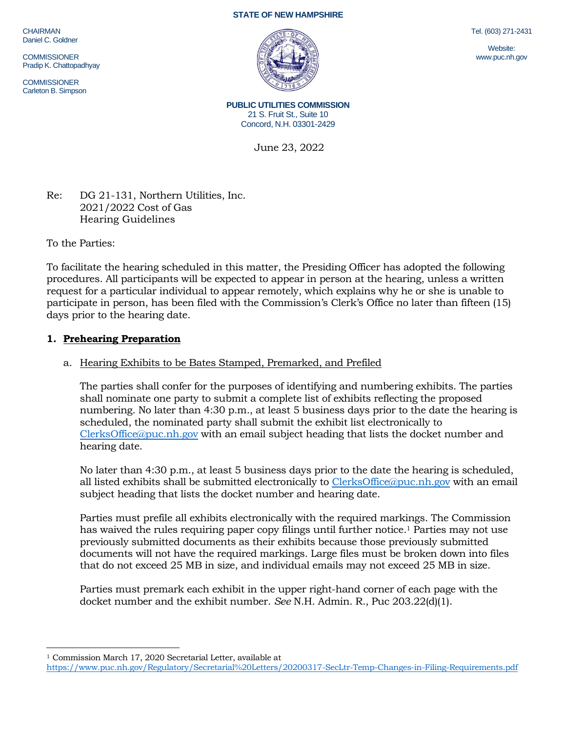CHAIRMAN Daniel C. Goldner

**COMMISSIONER** Pradip K. Chattopadhyay

COMMISSIONER Carleton B. Simpson





**PUBLIC UTILITIES COMMISSION** 21 S. Fruit St., Suite 10 Concord, N.H. 03301-2429

June 23, 2022

Re: DG 21-131, Northern Utilities, Inc. 2021/2022 Cost of Gas Hearing Guidelines

To the Parties:

To facilitate the hearing scheduled in this matter, the Presiding Officer has adopted the following procedures. All participants will be expected to appear in person at the hearing, unless a written request for a particular individual to appear remotely, which explains why he or she is unable to participate in person, has been filed with the Commission's Clerk's Office no later than fifteen (15) days prior to the hearing date.

## **1. Prehearing Preparation**

# a. Hearing Exhibits to be Bates Stamped, Premarked, and Prefiled

The parties shall confer for the purposes of identifying and numbering exhibits. The parties shall nominate one party to submit a complete list of exhibits reflecting the proposed numbering. No later than 4:30 p.m., at least 5 business days prior to the date the hearing is scheduled, the nominated party shall submit the exhibit list electronically to [ClerksOffice@puc.nh.gov](mailto:ClerksOffice@puc.nh.gov) with an email subject heading that lists the docket number and hearing date.

No later than 4:30 p.m., at least 5 business days prior to the date the hearing is scheduled, all listed exhibits shall be submitted electronically to [ClerksOffice@puc.nh.gov](mailto:Clerks.Office@puc.nh.gov) with an email subject heading that lists the docket number and hearing date.

Parties must prefile all exhibits electronically with the required markings. The Commission has waived the rules requiring paper copy filings until further notice. <sup>1</sup> Parties may not use previously submitted documents as their exhibits because those previously submitted documents will not have the required markings. Large files must be broken down into files that do not exceed 25 MB in size, and individual emails may not exceed 25 MB in size.

Parties must premark each exhibit in the upper right-hand corner of each page with the docket number and the exhibit number. *See* N.H. Admin. R., Puc 203.22(d)(1).

Tel. (603) 271-2431

Website: www.puc.nh.gov

<sup>&</sup>lt;sup>1</sup> Commission March 17, 2020 Secretarial Letter, available at

<https://www.puc.nh.gov/Regulatory/Secretarial%20Letters/20200317-SecLtr-Temp-Changes-in-Filing-Requirements.pdf>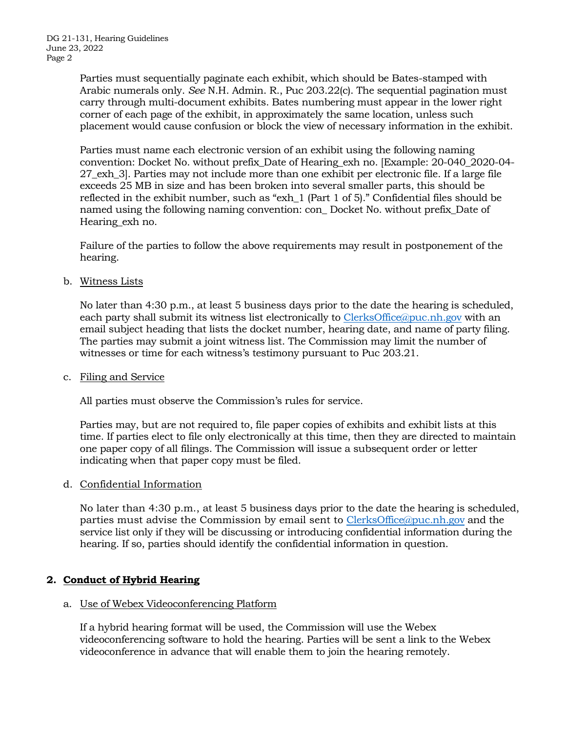Parties must sequentially paginate each exhibit, which should be Bates-stamped with Arabic numerals only. *See* N.H. Admin. R., Puc 203.22(c). The sequential pagination must carry through multi-document exhibits. Bates numbering must appear in the lower right corner of each page of the exhibit, in approximately the same location, unless such placement would cause confusion or block the view of necessary information in the exhibit.

Parties must name each electronic version of an exhibit using the following naming convention: Docket No. without prefix\_Date of Hearing\_exh no. [Example: 20-040\_2020-04- 27\_exh\_3]. Parties may not include more than one exhibit per electronic file. If a large file exceeds 25 MB in size and has been broken into several smaller parts, this should be reflected in the exhibit number, such as "exh\_1 (Part 1 of 5)." Confidential files should be named using the following naming convention: con\_ Docket No. without prefix\_Date of Hearing exh no.

Failure of the parties to follow the above requirements may result in postponement of the hearing.

b. Witness Lists

No later than 4:30 p.m., at least 5 business days prior to the date the hearing is scheduled, each party shall submit its witness list electronically to [ClerksOffice@puc.nh.gov](mailto:Clerks.Office@puc.nh.gov) with an email subject heading that lists the docket number, hearing date, and name of party filing. The parties may submit a joint witness list. The Commission may limit the number of witnesses or time for each witness's testimony pursuant to Puc 203.21.

c. Filing and Service

All parties must observe the Commission's rules for service.

Parties may, but are not required to, file paper copies of exhibits and exhibit lists at this time. If parties elect to file only electronically at this time, then they are directed to maintain one paper copy of all filings. The Commission will issue a subsequent order or letter indicating when that paper copy must be filed.

d. Confidential Information

No later than 4:30 p.m., at least 5 business days prior to the date the hearing is scheduled, parties must advise the Commission by email sent to [ClerksOffice@puc.nh.gov](mailto:Clerks.Office@puc.nh.gov) and the service list only if they will be discussing or introducing confidential information during the hearing. If so, parties should identify the confidential information in question.

## **2. Conduct of Hybrid Hearing**

## a. Use of Webex Videoconferencing Platform

If a hybrid hearing format will be used, the Commission will use the Webex videoconferencing software to hold the hearing. Parties will be sent a link to the Webex videoconference in advance that will enable them to join the hearing remotely.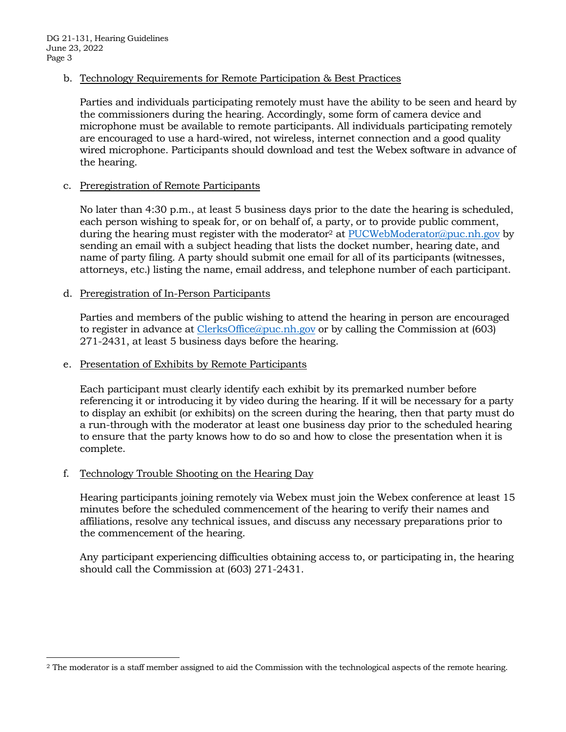b. Technology Requirements for Remote Participation & Best Practices

Parties and individuals participating remotely must have the ability to be seen and heard by the commissioners during the hearing. Accordingly, some form of camera device and microphone must be available to remote participants. All individuals participating remotely are encouraged to use a hard-wired, not wireless, internet connection and a good quality wired microphone. Participants should download and test the Webex software in advance of the hearing.

### c. Preregistration of Remote Participants

No later than 4:30 p.m., at least 5 business days prior to the date the hearing is scheduled, each person wishing to speak for, or on behalf of, a party, or to provide public comment, during the hearing must register with the moderator<sup>2</sup> at [PUCWebModerator@puc.nh.gov](mailto:PUCWebModerator@puc.nh.gov) by sending an email with a subject heading that lists the docket number, hearing date, and name of party filing. A party should submit one email for all of its participants (witnesses, attorneys, etc.) listing the name, email address, and telephone number of each participant.

### d. Preregistration of In-Person Participants

Parties and members of the public wishing to attend the hearing in person are encouraged to register in advance at [ClerksOffice@puc.nh.gov](mailto:Clerks.Office@puc.nh.gov) or by calling the Commission at (603) 271-2431, at least 5 business days before the hearing.

#### e. Presentation of Exhibits by Remote Participants

Each participant must clearly identify each exhibit by its premarked number before referencing it or introducing it by video during the hearing. If it will be necessary for a party to display an exhibit (or exhibits) on the screen during the hearing, then that party must do a run-through with the moderator at least one business day prior to the scheduled hearing to ensure that the party knows how to do so and how to close the presentation when it is complete.

#### f. Technology Trouble Shooting on the Hearing Day

Hearing participants joining remotely via Webex must join the Webex conference at least 15 minutes before the scheduled commencement of the hearing to verify their names and affiliations, resolve any technical issues, and discuss any necessary preparations prior to the commencement of the hearing.

Any participant experiencing difficulties obtaining access to, or participating in, the hearing should call the Commission at (603) 271-2431.

<sup>&</sup>lt;sup>2</sup> The moderator is a staff member assigned to aid the Commission with the technological aspects of the remote hearing.